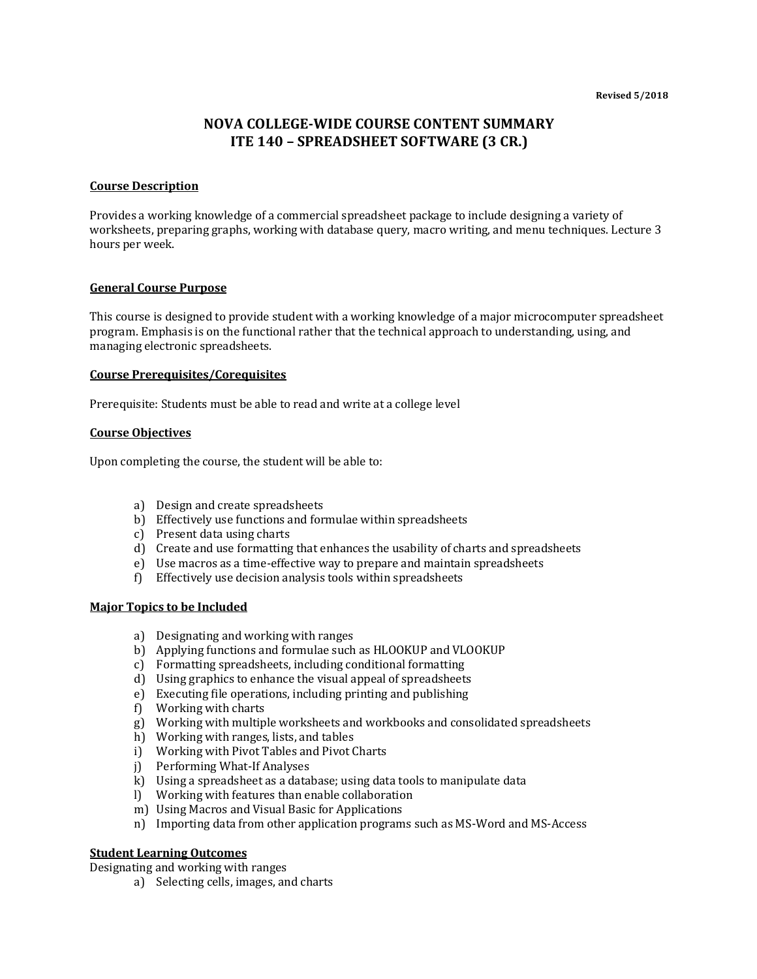# **NOVA COLLEGE-WIDE COURSE CONTENT SUMMARY ITE 140 - SPREADSHEET SOFTWARE (3 CR.)**

### **Course Description**

Provides a working knowledge of a commercial spreadsheet package to include designing a variety of worksheets, preparing graphs, working with database query, macro writing, and menu techniques. Lecture 3 hours per week.

#### **General Course Purpose**

This course is designed to provide student with a working knowledge of a major microcomputer spreadsheet program. Emphasis is on the functional rather that the technical approach to understanding, using, and managing electronic spreadsheets.

#### **Course Prerequisites/Corequisites**

Prerequisite: Students must be able to read and write at a college level

### **Course Objectives**

Upon completing the course, the student will be able to:

- a) Design and create spreadsheets
- b) Effectively use functions and formulae within spreadsheets
- c) Present data using charts
- d) Create and use formatting that enhances the usability of charts and spreadsheets
- e) Use macros as a time-effective way to prepare and maintain spreadsheets
- $f$ ) Effectively use decision analysis tools within spreadsheets

### **Major Topics to be Included**

- a) Designating and working with ranges
- b) Applying functions and formulae such as HLOOKUP and VLOOKUP
- c) Formatting spreadsheets, including conditional formatting
- d) Using graphics to enhance the visual appeal of spreadsheets
- e) Executing file operations, including printing and publishing
- f) Working with charts
- g) Working with multiple worksheets and workbooks and consolidated spreadsheets
- $h$ ) Working with ranges, lists, and tables
- i) Working with Pivot Tables and Pivot Charts
- j) Performing What-If Analyses
- $k)$  Using a spreadsheet as a database; using data tools to manipulate data
- l) Working with features than enable collaboration
- m) Using Macros and Visual Basic for Applications
- n) Importing data from other application programs such as MS-Word and MS-Access

# **Student Learning Outcomes**

Designating and working with ranges

a) Selecting cells, images, and charts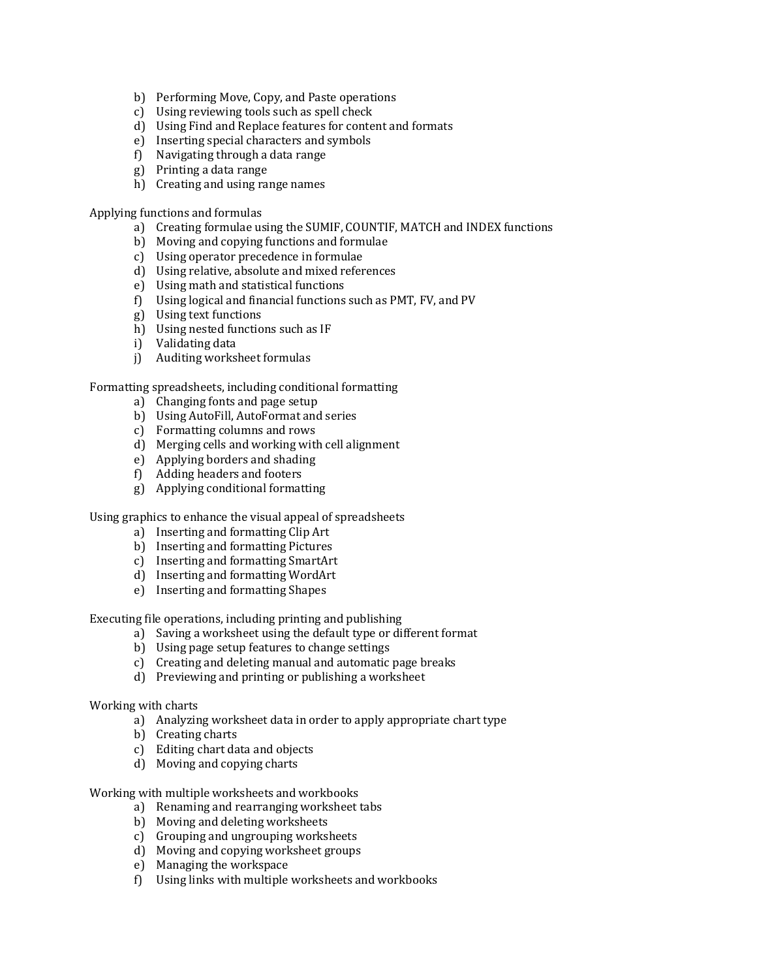- b) Performing Move, Copy, and Paste operations
- c) Using reviewing tools such as spell check
- d) Using Find and Replace features for content and formats
- e) Inserting special characters and symbols
- f) Navigating through a data range
- $\overrightarrow{g}$  Printing a data range
- h) Creating and using range names

# Applying functions and formulas

- a) Creating formulae using the SUMIF, COUNTIF, MATCH and INDEX functions
- b) Moving and copying functions and formulae
- c) Using operator precedence in formulae
- d) Using relative, absolute and mixed references
- e) Using math and statistical functions
- f) Using logical and financial functions such as PMT, FV, and PV
- g) Using text functions
- h) Using nested functions such as IF
- i) Validating data
- i) Auditing worksheet formulas

# Formatting spreadsheets, including conditional formatting

- a) Changing fonts and page setup
- b) Using AutoFill, AutoFormat and series
- c) Formatting columns and rows
- d) Merging cells and working with cell alignment
- e) Applying borders and shading
- f) Adding headers and footers
- g) Applying conditional formatting

# Using graphics to enhance the visual appeal of spreadsheets

- a) Inserting and formatting Clip Art
- b) Inserting and formatting Pictures
- c) Inserting and formatting SmartArt
- d) Inserting and formatting WordArt
- e) Inserting and formatting Shapes

Executing file operations, including printing and publishing

- a) Saving a worksheet using the default type or different format
- b) Using page setup features to change settings
- c) Creating and deleting manual and automatic page breaks
- d) Previewing and printing or publishing a worksheet

## Working with charts

- a) Analyzing worksheet data in order to apply appropriate chart type
- b) Creating charts
- c) Editing chart data and objects
- d) Moving and copying charts

Working with multiple worksheets and workbooks

- a) Renaming and rearranging worksheet tabs
- b) Moving and deleting worksheets
- c) Grouping and ungrouping worksheets
- d) Moving and copying worksheet groups
- e) Managing the workspace
- f) Using links with multiple worksheets and workbooks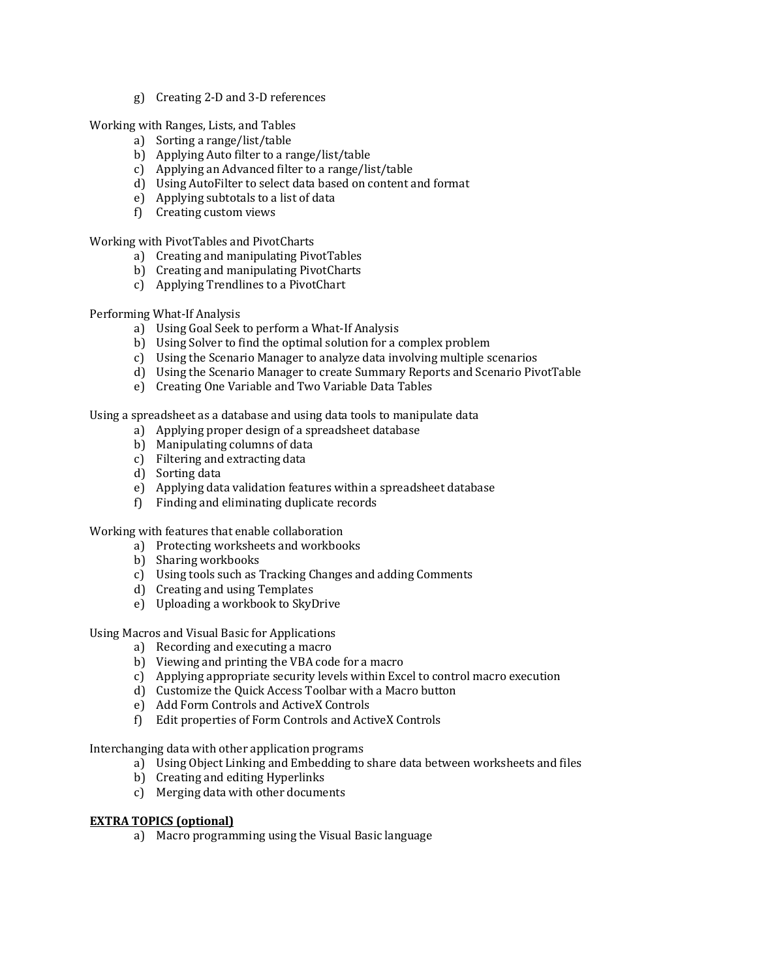g) Creating 2-D and 3-D references

Working with Ranges, Lists, and Tables

- a) Sorting a range/list/table
- b) Applying Auto filter to a range/list/table
- c) Applying an Advanced filter to a range/list/table
- d) Using AutoFilter to select data based on content and format
- e) Applying subtotals to a list of data
- f) Creating custom views

Working with PivotTables and PivotCharts

- a) Creating and manipulating PivotTables
- b) Creating and manipulating PivotCharts
- c) Applying Trendlines to a PivotChart

Performing What-If Analysis

- a) Using Goal Seek to perform a What-If Analysis
- b) Using Solver to find the optimal solution for a complex problem
- c) Using the Scenario Manager to analyze data involving multiple scenarios
- d) Using the Scenario Manager to create Summary Reports and Scenario PivotTable
- e) Creating One Variable and Two Variable Data Tables

Using a spreadsheet as a database and using data tools to manipulate data

- a) Applying proper design of a spreadsheet database
- b) Manipulating columns of data
- c) Filtering and extracting data
- d) Sorting data
- e) Applying data validation features within a spreadsheet database
- $f$  Finding and eliminating duplicate records

Working with features that enable collaboration

- a) Protecting worksheets and workbooks
- b) Sharing workbooks
- c) Using tools such as Tracking Changes and adding Comments
- d) Creating and using Templates
- e) Uploading a workbook to SkyDrive

Using Macros and Visual Basic for Applications

- a) Recording and executing a macro
- b) Viewing and printing the VBA code for a macro
- c) Applying appropriate security levels within Excel to control macro execution
- d) Customize the Quick Access Toolbar with a Macro button
- e) Add Form Controls and ActiveX Controls
- f) Edit properties of Form Controls and ActiveX Controls

Interchanging data with other application programs

- a) Using Object Linking and Embedding to share data between worksheets and files
- b) Creating and editing Hyperlinks
- c) Merging data with other documents

## **EXTRA TOPICS (optional)**

a) Macro programming using the Visual Basic language